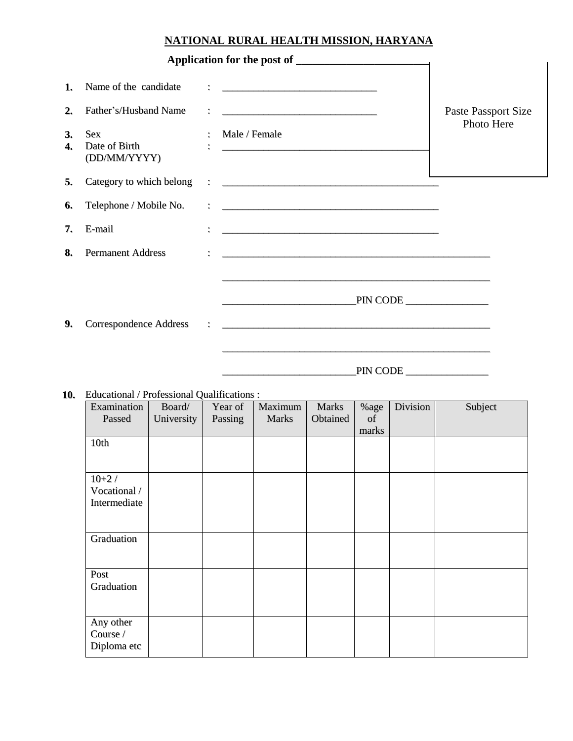## **NATIONAL RURAL HEALTH MISSION, HARYANA**

| 1.<br>2.<br>3.<br>4. | Name of the candidate<br>Father's/Husband Name<br><b>Sex</b><br>Date of Birth<br>(DD/MM/YYYY) | Male / Female                                                                                                                   | Paste Passport Size<br>Photo Here |
|----------------------|-----------------------------------------------------------------------------------------------|---------------------------------------------------------------------------------------------------------------------------------|-----------------------------------|
| 5.<br>6.             | Category to which belong<br>Telephone / Mobile No.                                            | <u> 2   Contractor Communication (Communication (Communication (Communication (Communication (Communication (Communication)</u> |                                   |
| 7.                   | E-mail                                                                                        |                                                                                                                                 |                                   |
| 8.                   | <b>Permanent Address</b>                                                                      |                                                                                                                                 |                                   |
| 9.                   | <b>Correspondence Address</b>                                                                 | PIN CODE<br>PIN CODE                                                                                                            |                                   |

## **10.** Educational / Professional Qualifications :

| Examination<br>Passed                   | Board/<br>University | Year of<br>Passing | Maximum<br><b>Marks</b> | <b>Marks</b><br>Obtained | %age<br>of<br>marks | Division | Subject |
|-----------------------------------------|----------------------|--------------------|-------------------------|--------------------------|---------------------|----------|---------|
| 10th                                    |                      |                    |                         |                          |                     |          |         |
| $10+2/$<br>Vocational /<br>Intermediate |                      |                    |                         |                          |                     |          |         |
| Graduation                              |                      |                    |                         |                          |                     |          |         |
| Post<br>Graduation                      |                      |                    |                         |                          |                     |          |         |
| Any other<br>Course /<br>Diploma etc    |                      |                    |                         |                          |                     |          |         |